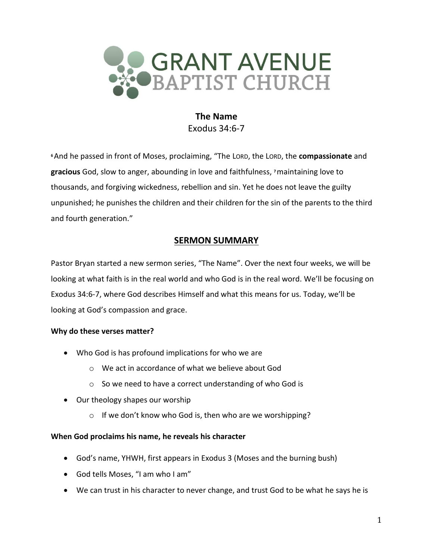

**The Name** Exodus 34:6-7

**<sup>6</sup>**And he passed in front of Moses, proclaiming, "The LORD, the LORD, the **compassionate** and **gracious** God, slow to anger, abounding in love and faithfulness, **<sup>7</sup>**maintaining love to thousands, and forgiving wickedness, rebellion and sin. Yet he does not leave the guilty unpunished; he punishes the children and their children for the sin of the parents to the third and fourth generation."

# **SERMON SUMMARY**

Pastor Bryan started a new sermon series, "The Name". Over the next four weeks, we will be looking at what faith is in the real world and who God is in the real word. We'll be focusing on Exodus 34:6-7, where God describes Himself and what this means for us. Today, we'll be looking at God's compassion and grace.

## **Why do these verses matter?**

- Who God is has profound implications for who we are
	- o We act in accordance of what we believe about God
	- o So we need to have a correct understanding of who God is
- Our theology shapes our worship
	- o If we don't know who God is, then who are we worshipping?

## **When God proclaims his name, he reveals his character**

- God's name, YHWH, first appears in Exodus 3 (Moses and the burning bush)
- God tells Moses, "I am who I am"
- We can trust in his character to never change, and trust God to be what he says he is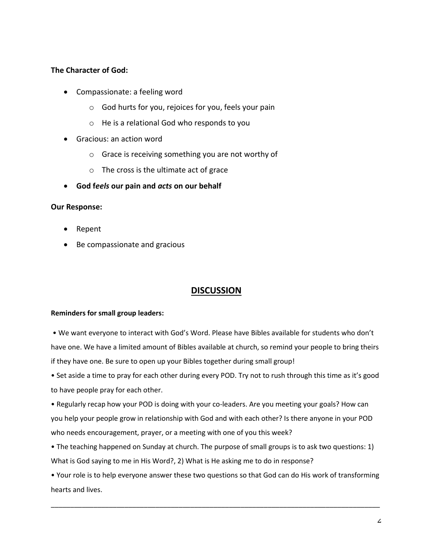### **The Character of God:**

- Compassionate: a feeling word
	- o God hurts for you, rejoices for you, feels your pain
	- o He is a relational God who responds to you
- Gracious: an action word
	- o Grace is receiving something you are not worthy of
	- $\circ$  The cross is the ultimate act of grace
- **God f***eels* **our pain and** *acts* **on our behalf**

### **Our Response:**

- Repent
- Be compassionate and gracious

# **DISCUSSION**

#### **Reminders for small group leaders:**

• We want everyone to interact with God's Word. Please have Bibles available for students who don't have one. We have a limited amount of Bibles available at church, so remind your people to bring theirs if they have one. Be sure to open up your Bibles together during small group!

• Set aside a time to pray for each other during every POD. Try not to rush through this time as it's good to have people pray for each other.

• Regularly recap how your POD is doing with your co-leaders. Are you meeting your goals? How can you help your people grow in relationship with God and with each other? Is there anyone in your POD who needs encouragement, prayer, or a meeting with one of you this week?

• The teaching happened on Sunday at church. The purpose of small groups is to ask two questions: 1) What is God saying to me in His Word?, 2) What is He asking me to do in response?

• Your role is to help everyone answer these two questions so that God can do His work of transforming hearts and lives.

\_\_\_\_\_\_\_\_\_\_\_\_\_\_\_\_\_\_\_\_\_\_\_\_\_\_\_\_\_\_\_\_\_\_\_\_\_\_\_\_\_\_\_\_\_\_\_\_\_\_\_\_\_\_\_\_\_\_\_\_\_\_\_\_\_\_\_\_\_\_\_\_\_\_\_\_\_\_\_\_\_\_\_\_\_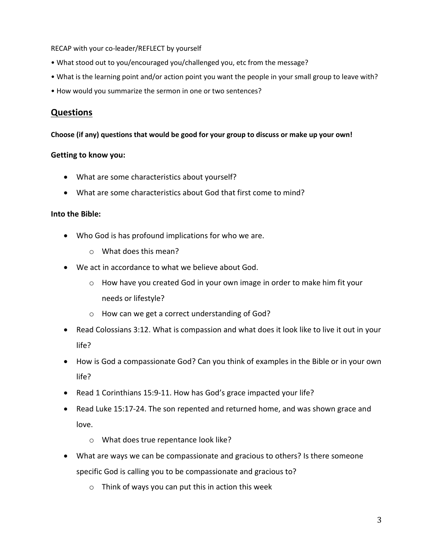RECAP with your co-leader/REFLECT by yourself

- What stood out to you/encouraged you/challenged you, etc from the message?
- What is the learning point and/or action point you want the people in your small group to leave with?
- How would you summarize the sermon in one or two sentences?

## **Questions**

#### **Choose (if any) questions that would be good for your group to discuss or make up your own!**

#### **Getting to know you:**

- What are some characteristics about yourself?
- What are some characteristics about God that first come to mind?

#### **Into the Bible:**

- Who God is has profound implications for who we are.
	- o What does this mean?
- We act in accordance to what we believe about God.
	- $\circ$  How have you created God in your own image in order to make him fit your needs or lifestyle?
	- o How can we get a correct understanding of God?
- Read Colossians 3:12. What is compassion and what does it look like to live it out in your life?
- How is God a compassionate God? Can you think of examples in the Bible or in your own life?
- Read 1 Corinthians 15:9-11. How has God's grace impacted your life?
- Read Luke 15:17-24. The son repented and returned home, and was shown grace and love.
	- o What does true repentance look like?
- What are ways we can be compassionate and gracious to others? Is there someone specific God is calling you to be compassionate and gracious to?
	- o Think of ways you can put this in action this week